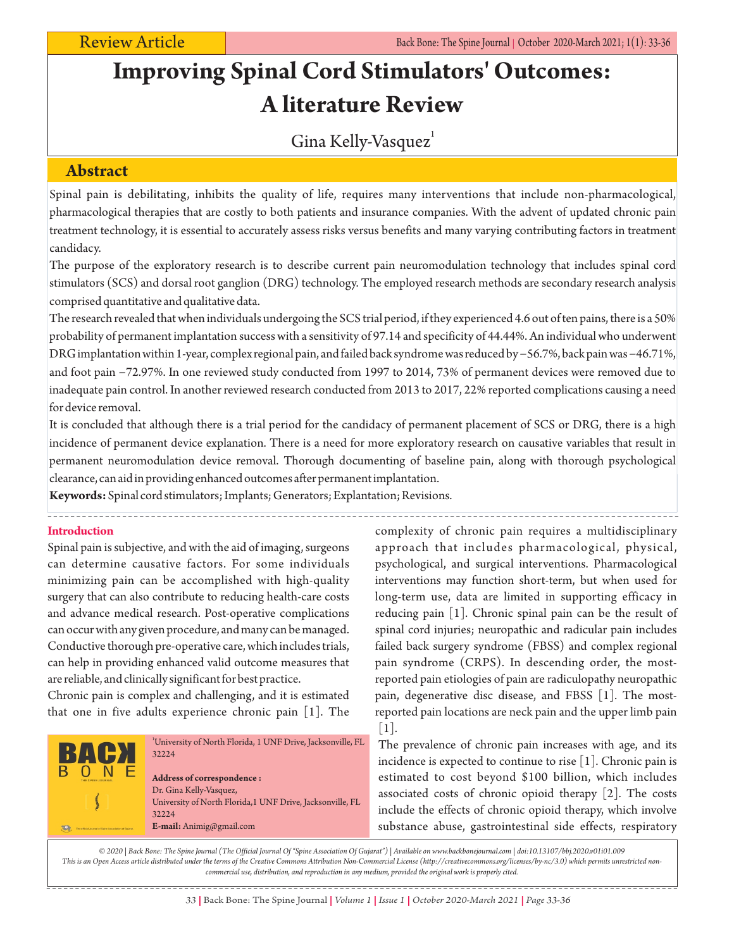# **Improving Spinal Cord Stimulators' Outcomes: A literature Review**

## Gina Kelly-Vasquez<sup>1</sup>

### **Abstract**

Spinal pain is debilitating, inhibits the quality of life, requires many interventions that include non-pharmacological, pharmacological therapies that are costly to both patients and insurance companies. With the advent of updated chronic pain treatment technology, it is essential to accurately assess risks versus benefits and many varying contributing factors in treatment candidacy.

The purpose of the exploratory research is to describe current pain neuromodulation technology that includes spinal cord stimulators (SCS) and dorsal root ganglion (DRG) technology. The employed research methods are secondary research analysis comprised quantitative and qualitative data.

The research revealed that when individuals undergoing the SCS trial period, if they experienced 4.6 out of ten pains, there is a 50% probability of permanent implantation success with a sensitivity of 97.14 and specificity of 44.44%. An individual who underwent DRG implantation within 1-year, complex regional pain, and failed back syndrome was reduced by −56.7%, back pain was −46.71%, and foot pain −72.97%. In one reviewed study conducted from 1997 to 2014, 73% of permanent devices were removed due to inadequate pain control. In another reviewed research conducted from 2013 to 2017, 22% reported complications causing a need for device removal.

It is concluded that although there is a trial period for the candidacy of permanent placement of SCS or DRG, there is a high incidence of permanent device explanation. There is a need for more exploratory research on causative variables that result in permanent neuromodulation device removal. Thorough documenting of baseline pain, along with thorough psychological clearance, can aid in providing enhanced outcomes after permanent implantation.

**Keywords:**Spinal cord stimulators; Implants; Generators; Explantation; Revisions.

### **Introduction**

Spinal pain is subjective, and with the aid of imaging, surgeons can determine causative factors. For some individuals minimizing pain can be accomplished with high-quality surgery that can also contribute to reducing health-care costs and advance medical research. Post-operative complications can occur with any given procedure, and many can be managed. Conductive thorough pre-operative care, which includes trials, can help in providing enhanced valid outcome measures that are reliable, and clinically significant for best practice.

Chronic pain is complex and challenging, and it is estimated that one in five adults experience chronic pain [1]. The



complexity of chronic pain requires a multidisciplinary approach that includes pharmacological, physical, psychological, and surgical interventions. Pharmacological interventions may function short-term, but when used for long-term use, data are limited in supporting efficacy in reducing pain [1]. Chronic spinal pain can be the result of spinal cord injuries; neuropathic and radicular pain includes failed back surgery syndrome (FBSS) and complex regional pain syndrome (CRPS). In descending order, the mostreported pain etiologies of pain are radiculopathy neuropathic pain, degenerative disc disease, and FBSS [1]. The mostreported pain locations are neck pain and the upper limb pain [1].

The prevalence of chronic pain increases with age, and its incidence is expected to continue to rise [1]. Chronic pain is estimated to cost beyond \$100 billion, which includes associated costs of chronic opioid therapy [2]. The costs include the effects of chronic opioid therapy, which involve substance abuse, gastrointestinal side effects, respiratory

*© 2020 | Back Bone: The Spine Journal (The Official Journal Of "Spine Association Of Gujarat") | Available on www.backbonejournal.com | doi:10.13107/bbj.2020.v01i01.009 This is an Open Access article distributed under the terms of the Creative Commons Attribution Non-Commercial License (http://creativecommons.org/licenses/by-nc/3.0) which permits unrestricted noncommercial use, distribution, and reproduction in any medium, provided the original work is properly cited.*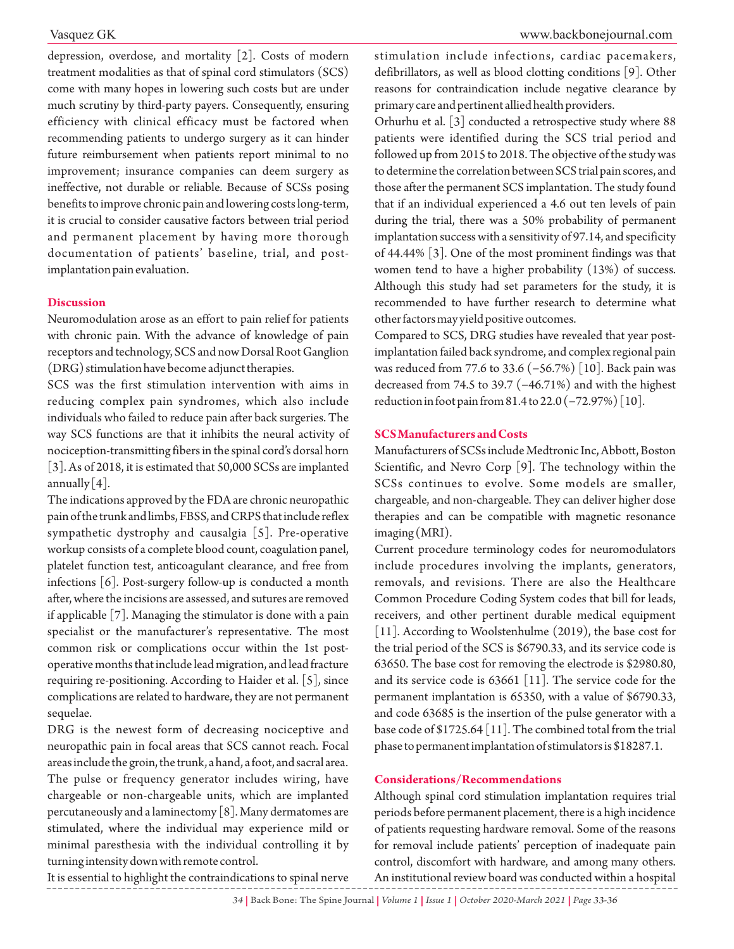depression, overdose, and mortality [2]. Costs of modern treatment modalities as that of spinal cord stimulators (SCS) come with many hopes in lowering such costs but are under much scrutiny by third-party payers. Consequently, ensuring efficiency with clinical efficacy must be factored when recommending patients to undergo surgery as it can hinder future reimbursement when patients report minimal to no improvement; insurance companies can deem surgery as ineffective, not durable or reliable. Because of SCSs posing benefits to improve chronic pain and lowering costs long-term, it is crucial to consider causative factors between trial period and permanent placement by having more thorough documentation of patients' baseline, trial, and postimplantation pain evaluation.

#### **Discussion**

Neuromodulation arose as an effort to pain relief for patients with chronic pain. With the advance of knowledge of pain receptors and technology, SCS and now Dorsal Root Ganglion (DRG) stimulation have become adjunct therapies.

SCS was the first stimulation intervention with aims in reducing complex pain syndromes, which also include individuals who failed to reduce pain after back surgeries. The way SCS functions are that it inhibits the neural activity of nociception-transmitting fibers in the spinal cord's dorsal horn [3]. As of 2018, it is estimated that 50,000 SCSs are implanted annually  $|4|$ .

The indications approved by the FDA are chronic neuropathic pain of the trunk and limbs, FBSS, and CRPS that include reflex sympathetic dystrophy and causalgia [5]. Pre-operative workup consists of a complete blood count, coagulation panel, platelet function test, anticoagulant clearance, and free from infections [6]. Post-surgery follow-up is conducted a month after, where the incisions are assessed, and sutures are removed if applicable [7]. Managing the stimulator is done with a pain specialist or the manufacturer's representative. The most common risk or complications occur within the 1st postoperative months that include lead migration, and lead fracture requiring re-positioning. According to Haider et al. [5], since complications are related to hardware, they are not permanent sequelae.

DRG is the newest form of decreasing nociceptive and neuropathic pain in focal areas that SCS cannot reach. Focal areas include the groin, the trunk, a hand, a foot, and sacral area. The pulse or frequency generator includes wiring, have chargeable or non-chargeable units, which are implanted percutaneously and a laminectomy  $[8]$ . Many dermatomes are stimulated, where the individual may experience mild or minimal paresthesia with the individual controlling it by turning intensity down with remote control.

stimulation include infections, cardiac pacemakers, defibrillators, as well as blood clotting conditions [9]. Other reasons for contraindication include negative clearance by primary care and pertinent allied health providers.

Orhurhu et al. [3] conducted a retrospective study where 88 patients were identified during the SCS trial period and followed up from 2015 to 2018. The objective of the study was to determine the correlation between SCS trial pain scores, and those after the permanent SCS implantation. The study found that if an individual experienced a 4.6 out ten levels of pain during the trial, there was a 50% probability of permanent implantation success with a sensitivity of 97.14, and specificity of 44.44% [3]. One of the most prominent findings was that women tend to have a higher probability (13%) of success. Although this study had set parameters for the study, it is recommended to have further research to determine what other factors may yield positive outcomes.

Compared to SCS, DRG studies have revealed that year postimplantation failed back syndrome, and complex regional pain was reduced from 77.6 to 33.6 (−56.7%) [10]. Back pain was decreased from 74.5 to 39.7 (−46.71%) and with the highest reduction in foot pain from 81.4 to 22.0 (−72.97%) [10].

#### **SCS Manufacturers and Costs**

Manufacturers of SCSs include Medtronic Inc, Abbott, Boston Scientific, and Nevro Corp [9]. The technology within the SCSs continues to evolve. Some models are smaller, chargeable, and non-chargeable. They can deliver higher dose therapies and can be compatible with magnetic resonance imaging (MRI).

Current procedure terminology codes for neuromodulators include procedures involving the implants, generators, removals, and revisions. There are also the Healthcare Common Procedure Coding System codes that bill for leads, receivers, and other pertinent durable medical equipment [11]. According to Woolstenhulme (2019), the base cost for the trial period of the SCS is \$6790.33, and its service code is 63650. The base cost for removing the electrode is \$2980.80, and its service code is 63661 [11]. The service code for the permanent implantation is 65350, with a value of \$6790.33, and code 63685 is the insertion of the pulse generator with a base code of \$1725.64 [11]. The combined total from the trial phase to permanent implantation of stimulators is \$18287.1.

#### **Considerations/Recommendations**

Although spinal cord stimulation implantation requires trial periods before permanent placement, there is a high incidence of patients requesting hardware removal. Some of the reasons for removal include patients' perception of inadequate pain control, discomfort with hardware, and among many others. An institutional review board was conducted within a hospital

It is essential to highlight the contraindications to spinal nerve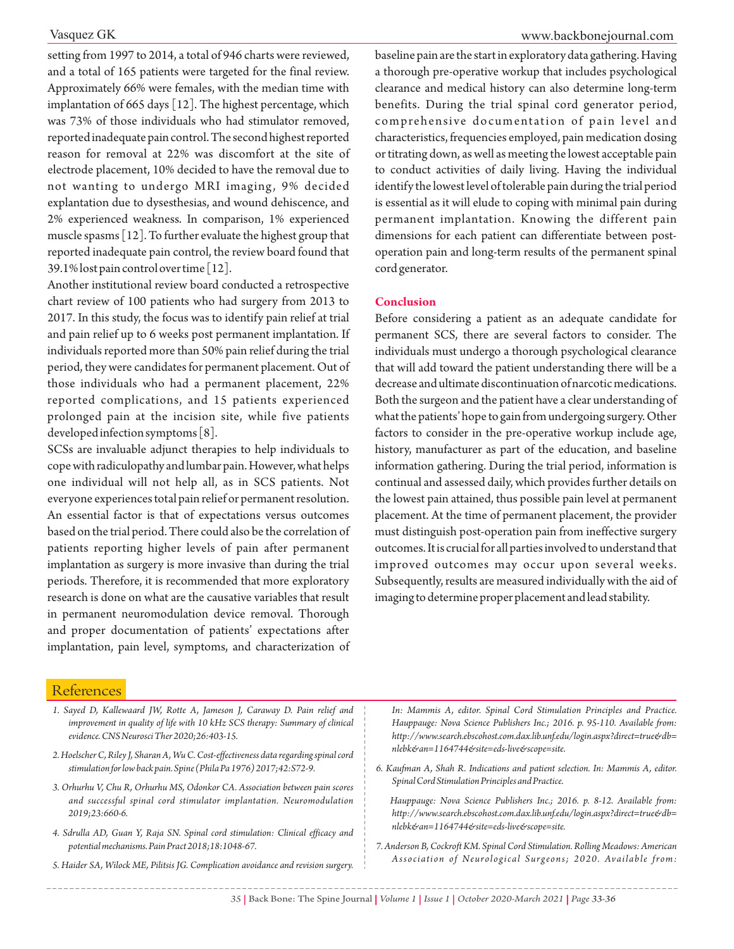setting from 1997 to 2014, a total of 946 charts were reviewed, and a total of 165 patients were targeted for the final review. Approximately 66% were females, with the median time with implantation of 665 days [12]. The highest percentage, which was 73% of those individuals who had stimulator removed, reported inadequate pain control. The second highest reported reason for removal at 22% was discomfort at the site of electrode placement, 10% decided to have the removal due to not wanting to undergo MRI imaging, 9% decided explantation due to dysesthesias, and wound dehiscence, and 2% experienced weakness. In comparison, 1% experienced muscle spasms [12]. To further evaluate the highest group that reported inadequate pain control, the review board found that 39.1% lost pain control over time [12].

Another institutional review board conducted a retrospective chart review of 100 patients who had surgery from 2013 to 2017. In this study, the focus was to identify pain relief at trial and pain relief up to 6 weeks post permanent implantation. If individuals reported more than 50% pain relief during the trial period, they were candidates for permanent placement. Out of those individuals who had a permanent placement, 22% reported complications, and 15 patients experienced prolonged pain at the incision site, while five patients developed infection symptoms [8].

SCSs are invaluable adjunct therapies to help individuals to cope with radiculopathy and lumbar pain. However, what helps one individual will not help all, as in SCS patients. Not everyone experiences total pain relief or permanent resolution. An essential factor is that of expectations versus outcomes based on the trial period. There could also be the correlation of patients reporting higher levels of pain after permanent implantation as surgery is more invasive than during the trial periods. Therefore, it is recommended that more exploratory research is done on what are the causative variables that result in permanent neuromodulation device removal. Thorough and proper documentation of patients' expectations after implantation, pain level, symptoms, and characterization of

baseline pain are the start in exploratory data gathering. Having a thorough pre-operative workup that includes psychological clearance and medical history can also determine long-term benefits. During the trial spinal cord generator period, comprehensive documentation of pain level and characteristics, frequencies employed, pain medication dosing or titrating down, as well as meeting the lowest acceptable pain to conduct activities of daily living. Having the individual identify the lowest level of tolerable pain during the trial period is essential as it will elude to coping with minimal pain during permanent implantation. Knowing the different pain dimensions for each patient can differentiate between postoperation pain and long-term results of the permanent spinal cord generator.

#### **Conclusion**

Before considering a patient as an adequate candidate for permanent SCS, there are several factors to consider. The individuals must undergo a thorough psychological clearance that will add toward the patient understanding there will be a decrease and ultimate discontinuation of narcotic medications. Both the surgeon and the patient have a clear understanding of what the patients' hope to gain from undergoing surgery. Other factors to consider in the pre-operative workup include age, history, manufacturer as part of the education, and baseline information gathering. During the trial period, information is continual and assessed daily, which provides further details on the lowest pain attained, thus possible pain level at permanent placement. At the time of permanent placement, the provider must distinguish post-operation pain from ineffective surgery outcomes. It is crucial for all parties involved to understand that improved outcomes may occur upon several weeks. Subsequently, results are measured individually with the aid of imaging to determine proper placement and lead stability.

### **References**

- *1. Sayed D, Kallewaard JW, Rotte A, Jameson J, Caraway D. Pain relief and improvement in quality of life with 10 kHz SCS therapy: Summary of clinical evidence. CNS Neurosci Ther 2020;26:403-15.*
- *2. Hoelscher C, Riley J, Sharan A, Wu C. Cost-effectiveness data regarding spinal cord stimulation for low back pain. Spine (Phila Pa 1976) 2017;42:S72-9.*
- *3. Orhurhu V, Chu R, Orhurhu MS, Odonkor CA. Association between pain scores and successful spinal cord stimulator implantation. Neuromodulation 2019;23:660-6.*
- *4. Sdrulla AD, Guan Y, Raja SN. Spinal cord stimulation: Clinical efficacy and potential mechanisms. Pain Pract 2018;18:1048-67.*
- *5. Haider SA, Wilock ME, Pilitsis JG. Complication avoidance and revision surgery.*

*In: Mammis A, editor. Spinal Cord Stimulation Principles and Practice. Hauppauge: Nova Science Publishers Inc.; 2016. p. 95-110. Available from: http://www.search.ebscohost.com.dax.lib.unf.edu/login.aspx?direct=true&db= nlebk&an=1164744&site=eds-live&scope=site.*

*6. Kaufman A, Shah R. Indications and patient selection. In: Mammis A, editor. Spinal Cord Stimulation Principles and Practice.* 

*Hauppauge: Nova Science Publishers Inc.; 2016. p. 8-12. Available from: http://www.search.ebscohost.com.dax.lib.unf.edu/login.aspx?direct=true&db= nlebk&an=1164744&site=eds-live&scope=site.*

*7. Anderson B, Cockroft KM. Spinal Cord Stimulation. Rolling Meadows: American Association of Neurological Surgeons; 2020. Available from:*